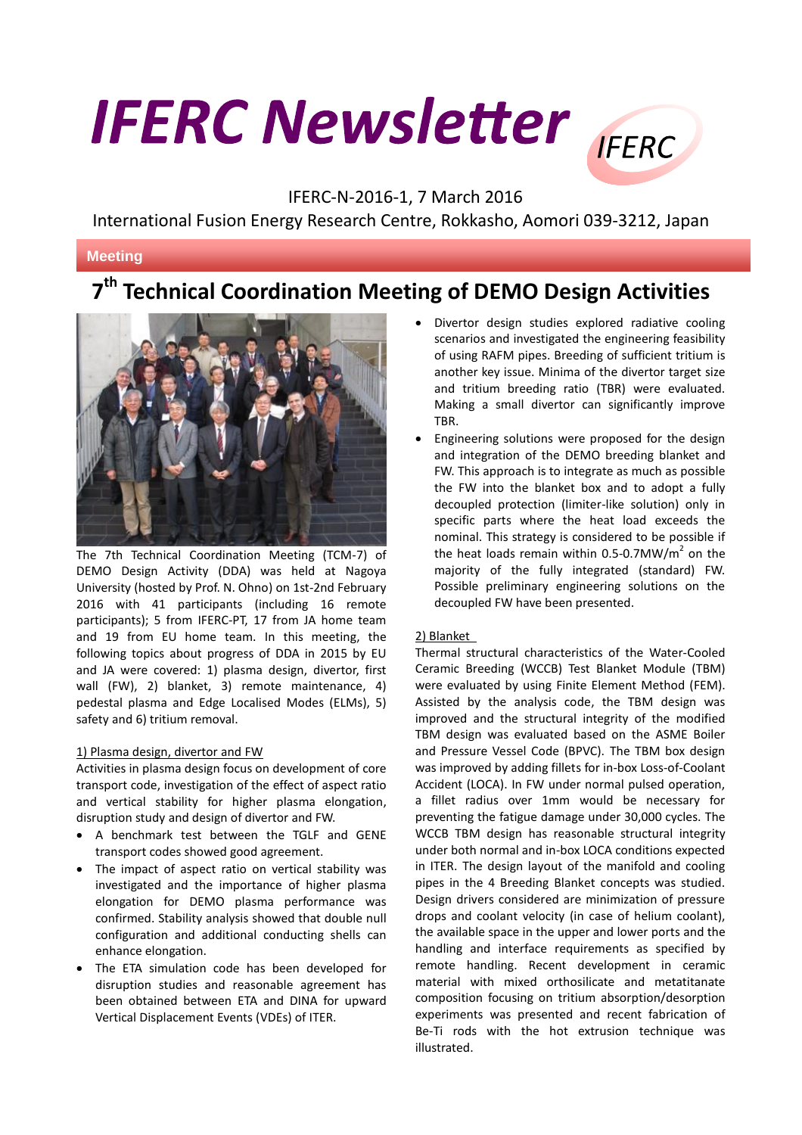# **IFERC Newsletter**



# IFERC-N-2016-1, 7 March 2016

International Fusion Energy Research Centre, Rokkasho, Aomori 039-3212, Japan

# **Meeting**

# **7 th Technical Coordination Meeting of DEMO Design Activities**



The 7th Technical Coordination Meeting (TCM-7) of DEMO Design Activity (DDA) was held at Nagoya University (hosted by Prof. N. Ohno) on 1st-2nd February 2016 with 41 participants (including 16 remote participants); 5 from IFERC-PT, 17 from JA home team and 19 from EU home team. In this meeting, the following topics about progress of DDA in 2015 by EU and JA were covered: 1) plasma design, divertor, first wall (FW), 2) blanket, 3) remote maintenance, 4) pedestal plasma and Edge Localised Modes (ELMs), 5) safety and 6) tritium removal.

## 1) Plasma design, divertor and FW

Activities in plasma design focus on development of core transport code, investigation of the effect of aspect ratio and vertical stability for higher plasma elongation, disruption study and design of divertor and FW.

- A benchmark test between the TGLF and GENE transport codes showed good agreement.
- The impact of aspect ratio on vertical stability was investigated and the importance of higher plasma elongation for DEMO plasma performance was confirmed. Stability analysis showed that double null configuration and additional conducting shells can enhance elongation.
- The ETA simulation code has been developed for disruption studies and reasonable agreement has been obtained between ETA and DINA for upward Vertical Displacement Events (VDEs) of ITER.
- Divertor design studies explored radiative cooling scenarios and investigated the engineering feasibility of using RAFM pipes. Breeding of sufficient tritium is another key issue. Minima of the divertor target size and tritium breeding ratio (TBR) were evaluated. Making a small divertor can significantly improve TBR.
- Engineering solutions were proposed for the design and integration of the DEMO breeding blanket and FW. This approach is to integrate as much as possible the FW into the blanket box and to adopt a fully decoupled protection (limiter-like solution) only in specific parts where the heat load exceeds the nominal. This strategy is considered to be possible if the heat loads remain within 0.5-0.7MW/m<sup>2</sup> on the majority of the fully integrated (standard) FW. Possible preliminary engineering solutions on the decoupled FW have been presented.

# 2) Blanket

Thermal structural characteristics of the Water-Cooled Ceramic Breeding (WCCB) Test Blanket Module (TBM) were evaluated by using Finite Element Method (FEM). Assisted by the analysis code, the TBM design was improved and the structural integrity of the modified TBM design was evaluated based on the ASME Boiler and Pressure Vessel Code (BPVC). The TBM box design was improved by adding fillets for in-box Loss-of-Coolant Accident (LOCA). In FW under normal pulsed operation, a fillet radius over 1mm would be necessary for preventing the fatigue damage under 30,000 cycles. The WCCB TBM design has reasonable structural integrity under both normal and in-box LOCA conditions expected in ITER. The design layout of the manifold and cooling pipes in the 4 Breeding Blanket concepts was studied. Design drivers considered are minimization of pressure drops and coolant velocity (in case of helium coolant), the available space in the upper and lower ports and the handling and interface requirements as specified by remote handling. Recent development in ceramic material with mixed orthosilicate and metatitanate composition focusing on tritium absorption/desorption experiments was presented and recent fabrication of Be-Ti rods with the hot extrusion technique was illustrated.